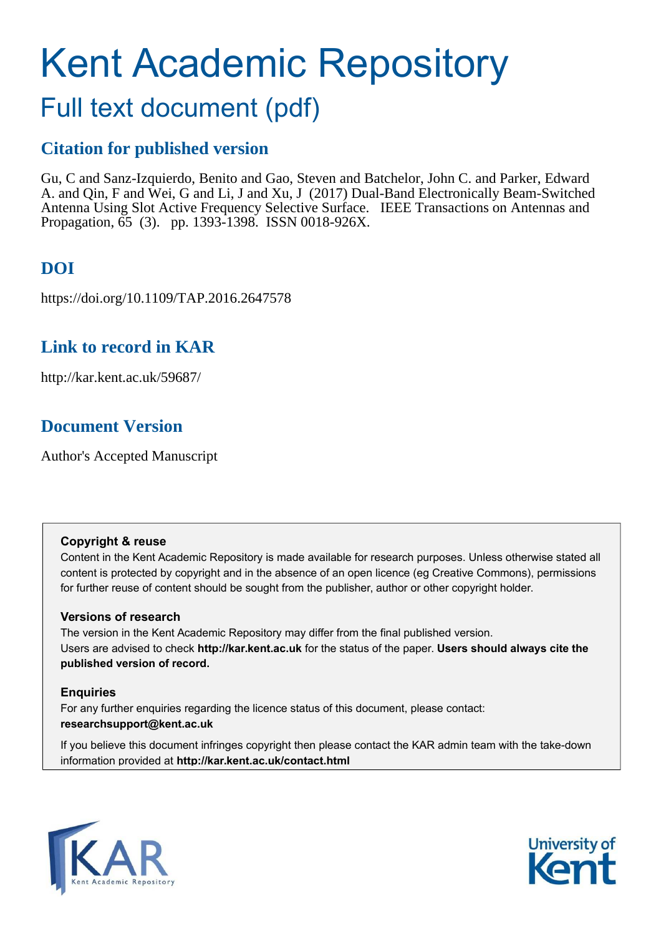# Kent Academic Repository

## Full text document (pdf)

## **Citation for published version**

Gu, C and Sanz-Izquierdo, Benito and Gao, Steven and Batchelor, John C. and Parker, Edward A. and Qin, F and Wei, G and Li, J and Xu, J (2017) Dual-Band Electronically Beam-Switched Antenna Using Slot Active Frequency Selective Surface. IEEE Transactions on Antennas and Propagation, 65 (3). pp. 1393-1398. ISSN 0018-926X.

## **DOI**

https://doi.org/10.1109/TAP.2016.2647578

## **Link to record in KAR**

http://kar.kent.ac.uk/59687/

## **Document Version**

Author's Accepted Manuscript

#### **Copyright & reuse**

Content in the Kent Academic Repository is made available for research purposes. Unless otherwise stated all content is protected by copyright and in the absence of an open licence (eg Creative Commons), permissions for further reuse of content should be sought from the publisher, author or other copyright holder.

#### **Versions of research**

The version in the Kent Academic Repository may differ from the final published version. Users are advised to check **http://kar.kent.ac.uk** for the status of the paper. **Users should always cite the published version of record.**

#### **Enquiries**

For any further enquiries regarding the licence status of this document, please contact: **researchsupport@kent.ac.uk**

If you believe this document infringes copyright then please contact the KAR admin team with the take-down information provided at **http://kar.kent.ac.uk/contact.html**



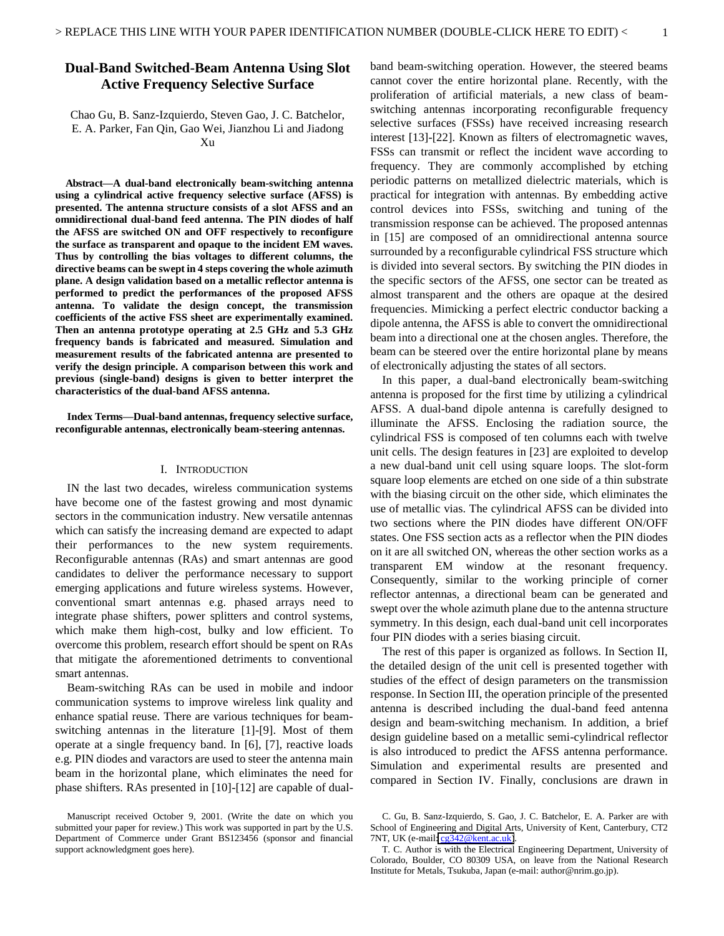#### **Dual-Band Switched-Beam Antenna Using Slot Active Frequency Selective Surface**

Chao Gu, B. Sanz-Izquierdo, Steven Gao, J. C. Batchelor, E. A. Parker, Fan Qin, Gao Wei, Jianzhou Li and Jiadong Xu

**Abstract—A dual-band electronically beam-switching antenna using a cylindrical active frequency selective surface (AFSS) is presented. The antenna structure consists of a slot AFSS and an omnidirectional dual-band feed antenna. The PIN diodes of half the AFSS are switched ON and OFF respectively to reconfigure the surface as transparent and opaque to the incident EM waves. Thus by controlling the bias voltages to different columns, the directive beams can be swept in 4 steps covering the whole azimuth plane. A design validation based on a metallic reflector antenna is performed to predict the performances of the proposed AFSS antenna. To validate the design concept, the transmission coefficients of the active FSS sheet are experimentally examined. Then an antenna prototype operating at 2.5 GHz and 5.3 GHz frequency bands is fabricated and measured. Simulation and measurement results of the fabricated antenna are presented to verify the design principle. A comparison between this work and previous (single-band) designs is given to better interpret the characteristics of the dual-band AFSS antenna.** 

**Index Terms—Dual-band antennas, frequency selective surface, reconfigurable antennas, electronically beam-steering antennas.** 

#### I. INTRODUCTION

IN the last two decades, wireless communication systems have become one of the fastest growing and most dynamic sectors in the communication industry. New versatile antennas which can satisfy the increasing demand are expected to adapt their performances to the new system requirements. Reconfigurable antennas (RAs) and smart antennas are good candidates to deliver the performance necessary to support emerging applications and future wireless systems. However, conventional smart antennas e.g. phased arrays need to integrate phase shifters, power splitters and control systems, which make them high-cost, bulky and low efficient. To overcome this problem, research effort should be spent on RAs that mitigate the aforementioned detriments to conventional smart antennas.

Beam-switching RAs can be used in mobile and indoor communication systems to improve wireless link quality and enhance spatial reuse. There are various techniques for beamswitching antennas in the literature [1]-[9]. Most of them operate at a single frequency band. In [6], [7], reactive loads e.g. PIN diodes and varactors are used to steer the antenna main beam in the horizontal plane, which eliminates the need for phase shifters. RAs presented in [10]-[12] are capable of dualband beam-switching operation. However, the steered beams cannot cover the entire horizontal plane. Recently, with the proliferation of artificial materials, a new class of beamswitching antennas incorporating reconfigurable frequency selective surfaces (FSSs) have received increasing research interest [13]-[22]. Known as filters of electromagnetic waves, FSSs can transmit or reflect the incident wave according to frequency. They are commonly accomplished by etching periodic patterns on metallized dielectric materials, which is practical for integration with antennas. By embedding active control devices into FSSs, switching and tuning of the transmission response can be achieved. The proposed antennas in [15] are composed of an omnidirectional antenna source surrounded by a reconfigurable cylindrical FSS structure which is divided into several sectors. By switching the PIN diodes in the specific sectors of the AFSS, one sector can be treated as almost transparent and the others are opaque at the desired frequencies. Mimicking a perfect electric conductor backing a dipole antenna, the AFSS is able to convert the omnidirectional beam into a directional one at the chosen angles. Therefore, the beam can be steered over the entire horizontal plane by means of electronically adjusting the states of all sectors.

In this paper, a dual-band electronically beam-switching antenna is proposed for the first time by utilizing a cylindrical AFSS. A dual-band dipole antenna is carefully designed to illuminate the AFSS. Enclosing the radiation source, the cylindrical FSS is composed of ten columns each with twelve unit cells. The design features in [23] are exploited to develop a new dual-band unit cell using square loops. The slot-form square loop elements are etched on one side of a thin substrate with the biasing circuit on the other side, which eliminates the use of metallic vias. The cylindrical AFSS can be divided into two sections where the PIN diodes have different ON/OFF states. One FSS section acts as a reflector when the PIN diodes on it are all switched ON, whereas the other section works as a transparent EM window at the resonant frequency. Consequently, similar to the working principle of corner reflector antennas, a directional beam can be generated and swept over the whole azimuth plane due to the antenna structure symmetry. In this design, each dual-band unit cell incorporates four PIN diodes with a series biasing circuit.

The rest of this paper is organized as follows. In Section II, the detailed design of the unit cell is presented together with studies of the effect of design parameters on the transmission response. In Section III, the operation principle of the presented antenna is described including the dual-band feed antenna design and beam-switching mechanism. In addition, a brief design guideline based on a metallic semi-cylindrical reflector is also introduced to predict the AFSS antenna performance. Simulation and experimental results are presented and compared in Section IV. Finally, conclusions are drawn in

Manuscript received October 9, 2001. (Write the date on which you submitted your paper for review.) This work was supported in part by the U.S. Department of Commerce under Grant BS123456 (sponsor and financial support acknowledgment goes here).

C. Gu, B. Sanz-Izquierdo, S. Gao, J. C. Batchelor, E. A. Parker are with School of Engineering and Digital Arts, University of Kent, Canterbury, CT2 7NT, UK (e-mail[: cg342@kent.ac.uk\)](mailto:cg342@kent.ac.uk).

T. C. Author is with the Electrical Engineering Department, University of Colorado, Boulder, CO 80309 USA, on leave from the National Research Institute for Metals, Tsukuba, Japan (e-mail: author@nrim.go.jp).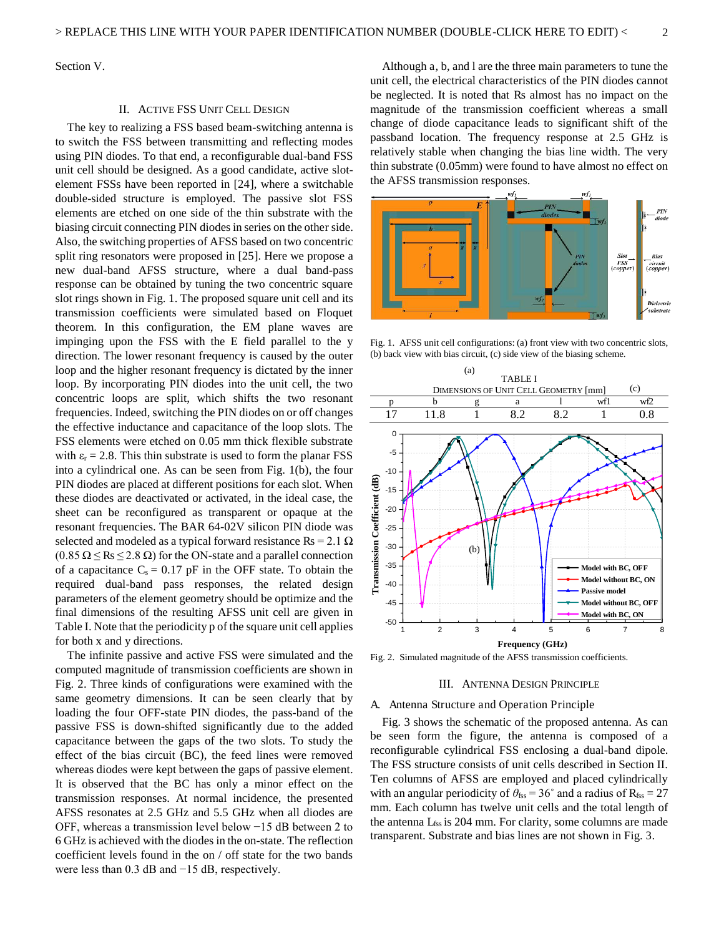Section V.

#### II. ACTIVE FSS UNIT CELL DESIGN

The key to realizing a FSS based beam-switching antenna is to switch the FSS between transmitting and reflecting modes using PIN diodes. To that end, a reconfigurable dual-band FSS unit cell should be designed. As a good candidate, active slotelement FSSs have been reported in [24], where a switchable double-sided structure is employed. The passive slot FSS elements are etched on one side of the thin substrate with the biasing circuit connecting PIN diodes in series on the other side. Also, the switching properties of AFSS based on two concentric split ring resonators were proposed in [25]. Here we propose a new dual-band AFSS structure, where a dual band-pass response can be obtained by tuning the two concentric square slot rings shown in Fig. 1. The proposed square unit cell and its transmission coefficients were simulated based on Floquet theorem. In this configuration, the EM plane waves are impinging upon the FSS with the E field parallel to the y direction. The lower resonant frequency is caused by the outer loop and the higher resonant frequency is dictated by the inner loop. By incorporating PIN diodes into the unit cell, the two concentric loops are split, which shifts the two resonant frequencies. Indeed, switching the PIN diodes on or off changes the effective inductance and capacitance of the loop slots. The FSS elements were etched on 0.05 mm thick flexible substrate with  $\varepsilon_r = 2.8$ . This thin substrate is used to form the planar FSS into a cylindrical one. As can be seen from Fig. 1(b), the four PIN diodes are placed at different positions for each slot. When these diodes are deactivated or activated, in the ideal case, the sheet can be reconfigured as transparent or opaque at the resonant frequencies. The BAR 64-02V silicon PIN diode was selected and modeled as a typical forward resistance  $\text{Rs} = 2.1 \Omega$  $(0.85 \Omega \leq \text{Rs } \leq 2.8 \Omega)$  for the ON-state and a parallel connection of a capacitance  $C_s = 0.17$  pF in the OFF state. To obtain the required dual-band pass responses, the related design parameters of the element geometry should be optimize and the final dimensions of the resulting AFSS unit cell are given in Table I. Note that the periodicity p of the square unit cell applies for both x and y directions.

The infinite passive and active FSS were simulated and the computed magnitude of transmission coefficients are shown in Fig. 2. Three kinds of configurations were examined with the same geometry dimensions. It can be seen clearly that by loading the four OFF-state PIN diodes, the pass-band of the passive FSS is down-shifted significantly due to the added capacitance between the gaps of the two slots. To study the effect of the bias circuit (BC), the feed lines were removed whereas diodes were kept between the gaps of passive element. It is observed that the BC has only a minor effect on the transmission responses. At normal incidence, the presented AFSS resonates at 2.5 GHz and 5.5 GHz when all diodes are OFF, whereas a transmission level below −15 dB between 2 to 6 GHz is achieved with the diodes in the on-state. The reflection coefficient levels found in the on / off state for the two bands were less than 0.3 dB and −15 dB, respectively.

Although a, b, and l are the three main parameters to tune the unit cell, the electrical characteristics of the PIN diodes cannot be neglected. It is noted that Rs almost has no impact on the magnitude of the transmission coefficient whereas a small change of diode capacitance leads to significant shift of the passband location. The frequency response at 2.5 GHz is relatively stable when changing the bias line width. The very thin substrate (0.05mm) were found to have almost no effect on the AFSS transmission responses.



Fig. 1. AFSS unit cell configurations: (a) front view with two concentric slots, (b) back view with bias circuit, (c) side view of the biasing scheme.



Fig. 2. Simulated magnitude of the AFSS transmission coefficients.

#### III. ANTENNA DESIGN PRINCIPLE

#### A. Antenna Structure and Operation Principle

Fig. 3 shows the schematic of the proposed antenna. As can be seen form the figure, the antenna is composed of a reconfigurable cylindrical FSS enclosing a dual-band dipole. The FSS structure consists of unit cells described in Section II. Ten columns of AFSS are employed and placed cylindrically with an angular periodicity of  $\theta_{\text{fss}} = 36^{\circ}$  and a radius of  $R_{\text{fss}} = 27$ mm. Each column has twelve unit cells and the total length of the antenna  $L_{fss}$  is 204 mm. For clarity, some columns are made transparent. Substrate and bias lines are not shown in Fig. 3.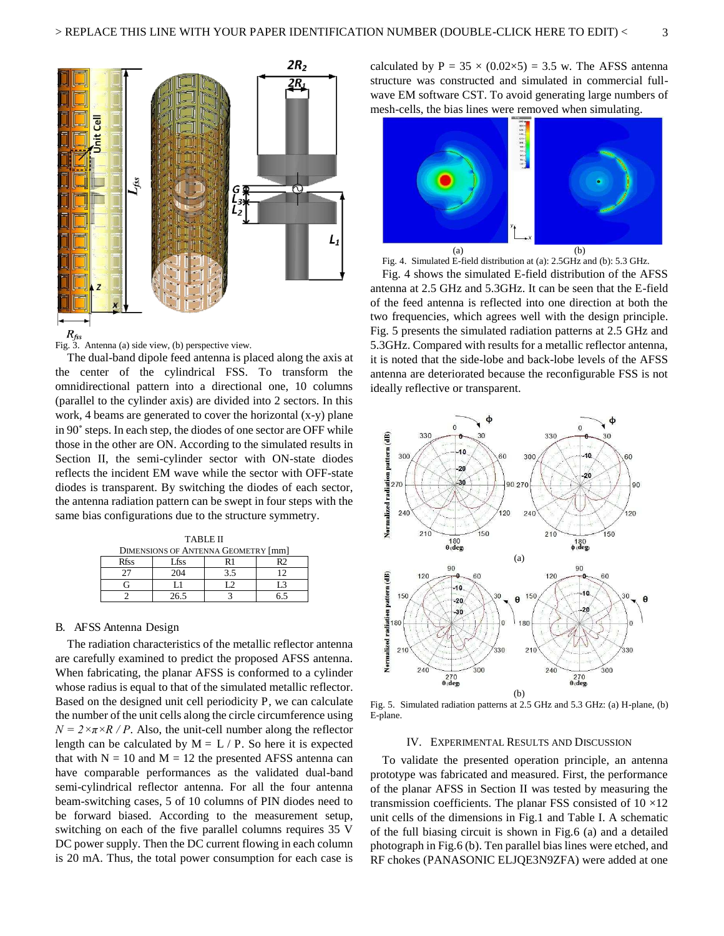

The dual-band dipole feed antenna is placed along the axis at the center of the cylindrical FSS. To transform the omnidirectional pattern into a directional one, 10 columns (parallel to the cylinder axis) are divided into 2 sectors. In this work, 4 beams are generated to cover the horizontal (x-y) plane in 90<sup>°</sup> steps. In each step, the diodes of one sector are OFF while those in the other are ON. According to the simulated results in Section II, the semi-cylinder sector with ON-state diodes reflects the incident EM wave while the sector with OFF-state diodes is transparent. By switching the diodes of each sector, the antenna radiation pattern can be swept in four steps with the same bias configurations due to the structure symmetry.

| <b>TABLE II</b>                            |      |     |  |  |  |
|--------------------------------------------|------|-----|--|--|--|
| <b>DIMENSIONS OF ANTENNA GEOMETRY [mm]</b> |      |     |  |  |  |
| <b>Rfss</b>                                | Lfss | R 1 |  |  |  |
|                                            | 204  |     |  |  |  |
|                                            |      |     |  |  |  |
|                                            | 26.5 |     |  |  |  |

#### B. AFSS Antenna Design

The radiation characteristics of the metallic reflector antenna are carefully examined to predict the proposed AFSS antenna. When fabricating, the planar AFSS is conformed to a cylinder whose radius is equal to that of the simulated metallic reflector. Based on the designed unit cell periodicity P, we can calculate the number of the unit cells along the circle circumference using  $N = 2 \times \pi \times R / P$ . Also, the unit-cell number along the reflector length can be calculated by  $M = L / P$ . So here it is expected that with  $N = 10$  and  $M = 12$  the presented AFSS antenna can have comparable performances as the validated dual-band semi-cylindrical reflector antenna. For all the four antenna beam-switching cases, 5 of 10 columns of PIN diodes need to be forward biased. According to the measurement setup, switching on each of the five parallel columns requires 35 V DC power supply. Then the DC current flowing in each column is 20 mA. Thus, the total power consumption for each case is

calculated by  $P = 35 \times (0.02 \times 5) = 3.5$  w. The AFSS antenna structure was constructed and simulated in commercial fullwave EM software CST. To avoid generating large numbers of mesh-cells, the bias lines were removed when simulating.



Fig. 4. Simulated E-field distribution at (a): 2.5GHz and (b): 5.3 GHz.

Fig. 4 shows the simulated E-field distribution of the AFSS antenna at 2.5 GHz and 5.3GHz. It can be seen that the E-field of the feed antenna is reflected into one direction at both the two frequencies, which agrees well with the design principle. Fig. 5 presents the simulated radiation patterns at 2.5 GHz and 5.3GHz. Compared with results for a metallic reflector antenna, it is noted that the side-lobe and back-lobe levels of the AFSS antenna are deteriorated because the reconfigurable FSS is not ideally reflective or transparent.



Fig. 5. Simulated radiation patterns at 2.5 GHz and 5.3 GHz: (a) H-plane, (b) E-plane.

#### IV. EXPERIMENTAL RESULTS AND DISCUSSION

To validate the presented operation principle, an antenna prototype was fabricated and measured. First, the performance of the planar AFSS in Section II was tested by measuring the transmission coefficients. The planar FSS consisted of  $10 \times 12$ unit cells of the dimensions in Fig.1 and Table I. A schematic of the full biasing circuit is shown in Fig.6 (a) and a detailed photograph in Fig.6 (b). Ten parallel bias lines were etched, and RF chokes (PANASONIC ELJQE3N9ZFA) were added at one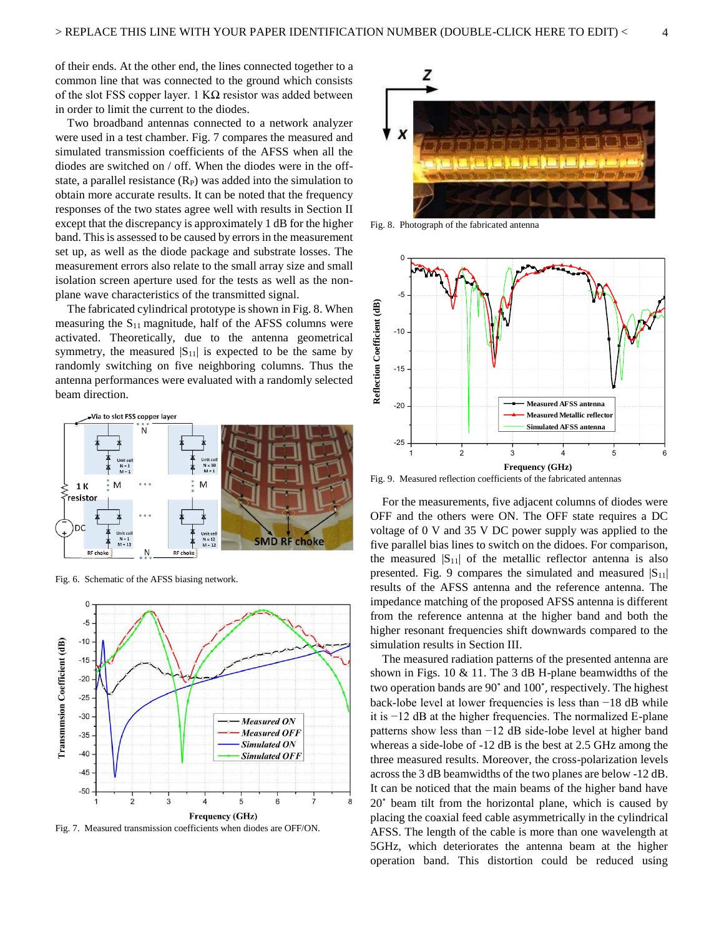of their ends. At the other end, the lines connected together to a common line that was connected to the ground which consists of the slot FSS copper layer. 1  $K\Omega$  resistor was added between in order to limit the current to the diodes.

Two broadband antennas connected to a network analyzer were used in a test chamber. Fig. 7 compares the measured and simulated transmission coefficients of the AFSS when all the diodes are switched on / off. When the diodes were in the offstate, a parallel resistance  $(R_P)$  was added into the simulation to obtain more accurate results. It can be noted that the frequency responses of the two states agree well with results in Section II except that the discrepancy is approximately 1 dB for the higher band. This is assessed to be caused by errors in the measurement set up, as well as the diode package and substrate losses. The measurement errors also relate to the small array size and small isolation screen aperture used for the tests as well as the nonplane wave characteristics of the transmitted signal.

The fabricated cylindrical prototype is shown in Fig. 8. When measuring the  $S_{11}$  magnitude, half of the AFSS columns were activated. Theoretically, due to the antenna geometrical symmetry, the measured  $|S_{11}|$  is expected to be the same by randomly switching on five neighboring columns. Thus the antenna performances were evaluated with a randomly selected beam direction.



Fig. 6. Schematic of the AFSS biasing network.



Fig. 7. Measured transmission coefficients when diodes are OFF/ON.



Fig. 8. Photograph of the fabricated antenna



Fig. 9. Measured reflection coefficients of the fabricated antennas

For the measurements, five adjacent columns of diodes were OFF and the others were ON. The OFF state requires a DC voltage of 0 V and 35 V DC power supply was applied to the five parallel bias lines to switch on the didoes. For comparison, the measured  $|S_{11}|$  of the metallic reflector antenna is also presented. Fig. 9 compares the simulated and measured  $|S_{11}|$ results of the AFSS antenna and the reference antenna. The impedance matching of the proposed AFSS antenna is different from the reference antenna at the higher band and both the higher resonant frequencies shift downwards compared to the simulation results in Section III.

The measured radiation patterns of the presented antenna are shown in Figs. 10 & 11. The 3 dB H-plane beamwidths of the two operation bands are 90° and 100°, respectively. The highest back-lobe level at lower frequencies is less than −18 dB while it is −12 dB at the higher frequencies. The normalized E-plane patterns show less than −12 dB side-lobe level at higher band whereas a side-lobe of -12 dB is the best at 2.5 GHz among the three measured results. Moreover, the cross-polarization levels across the 3 dB beamwidths of the two planes are below -12 dB. It can be noticed that the main beams of the higher band have 20<sup>°</sup> beam tilt from the horizontal plane, which is caused by placing the coaxial feed cable asymmetrically in the cylindrical AFSS. The length of the cable is more than one wavelength at 5GHz, which deteriorates the antenna beam at the higher operation band. This distortion could be reduced using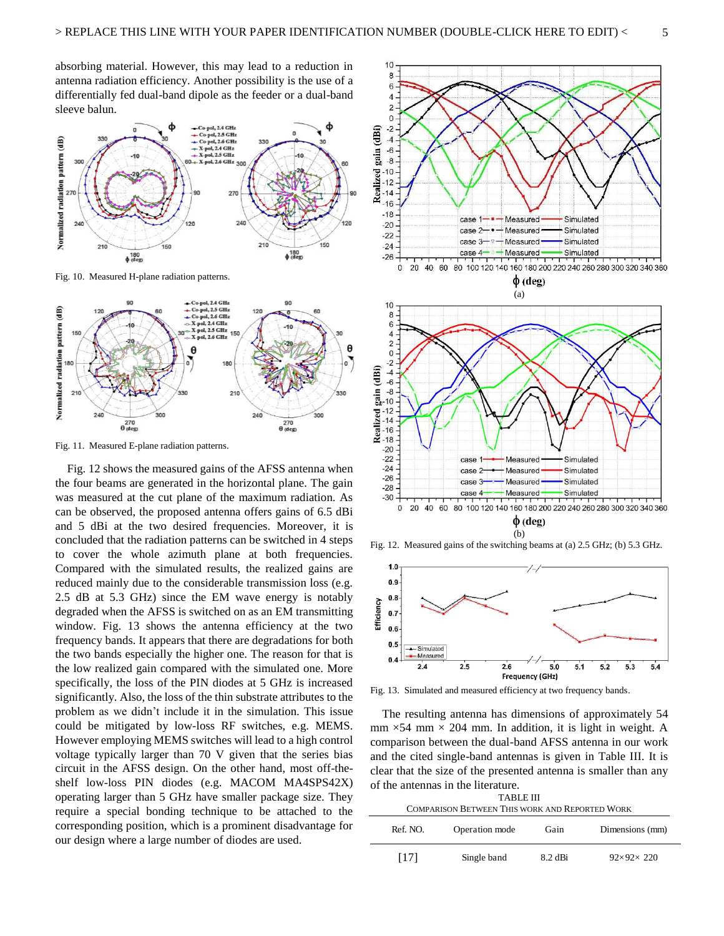absorbing material. However, this may lead to a reduction in antenna radiation efficiency. Another possibility is the use of a differentially fed dual-band dipole as the feeder or a dual-band sleeve balun.



Fig. 10. Measured H-plane radiation patterns.



Fig. 11. Measured E-plane radiation patterns.

Fig. 12 shows the measured gains of the AFSS antenna when the four beams are generated in the horizontal plane. The gain was measured at the cut plane of the maximum radiation. As can be observed, the proposed antenna offers gains of 6.5 dBi and 5 dBi at the two desired frequencies. Moreover, it is concluded that the radiation patterns can be switched in 4 steps to cover the whole azimuth plane at both frequencies. Compared with the simulated results, the realized gains are reduced mainly due to the considerable transmission loss (e.g. 2.5 dB at 5.3 GHz) since the EM wave energy is notably degraded when the AFSS is switched on as an EM transmitting window. Fig. 13 shows the antenna efficiency at the two frequency bands. It appears that there are degradations for both the two bands especially the higher one. The reason for that is the low realized gain compared with the simulated one. More specifically, the loss of the PIN diodes at 5 GHz is increased significantly. Also, the loss of the thin substrate attributes to the problem as we didn't include it in the simulation. This issue could be mitigated by low-loss RF switches, e.g. MEMS. However employing MEMS switches will lead to a high control voltage typically larger than 70 V given that the series bias circuit in the AFSS design. On the other hand, most off-theshelf low-loss PIN diodes (e.g. MACOM MA4SPS42X) operating larger than 5 GHz have smaller package size. They require a special bonding technique to be attached to the corresponding position, which is a prominent disadvantage for our design where a large number of diodes are used.



Fig. 12. Measured gains of the switching beams at (a) 2.5 GHz; (b) 5.3 GHz.



Fig. 13. Simulated and measured efficiency at two frequency bands.

The resulting antenna has dimensions of approximately 54 mm  $\times$  54 mm  $\times$  204 mm. In addition, it is light in weight. A comparison between the dual-band AFSS antenna in our work and the cited single-band antennas is given in Table III. It is clear that the size of the presented antenna is smaller than any of the antennas in the literature.

| TABLE III<br><b>COMPARISON BETWEEN THIS WORK AND REPORTED WORK</b> |                |         |                       |  |  |
|--------------------------------------------------------------------|----------------|---------|-----------------------|--|--|
| Ref. NO.                                                           | Operation mode | Gain    | Dimensions (mm)       |  |  |
| [17]                                                               | Single band    | 8.2 dBi | $92\times92\times220$ |  |  |